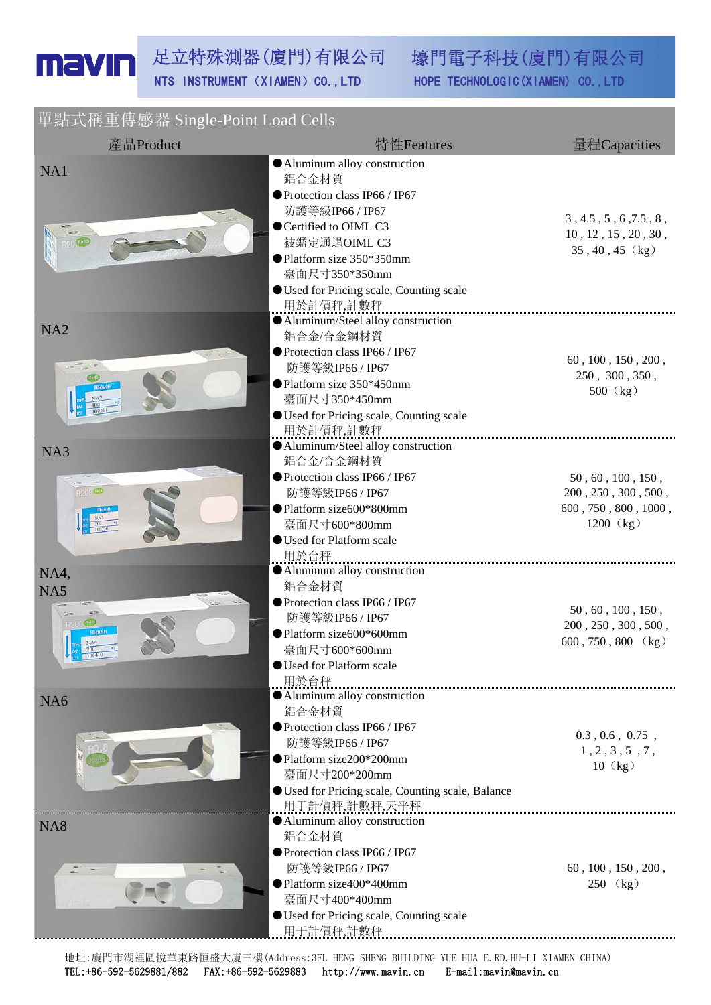壕門電子科技(廈門)有限公司 HOPE TECHNOLOGIC (XIAMEN) CO., LTD

單點式稱重傳感器 Single-Point Load Cells

| , , , , , , , , , , , , , , , ,<br>產品Product | 特性Features                                                                                                                                                                                                                    | 量程Capacities                                                                                |
|----------------------------------------------|-------------------------------------------------------------------------------------------------------------------------------------------------------------------------------------------------------------------------------|---------------------------------------------------------------------------------------------|
| NA1                                          | Aluminum alloy construction<br>鋁合金材質<br>● Protection class IP66 / IP67<br>防護等級IP66 / IP67<br>● Certified to OIML C3<br>被鑑定通過OIML C3<br>● Platform size 350*350mm<br>臺面尺寸350*350mm<br>● Used for Pricing scale, Counting scale | 3, 4.5, 5, 6, 7.5, 8,<br>$10$ , $12$ , $15$ , $20$ , $30$ ,<br>$35, 40, 45$ (kg)            |
| NA <sub>2</sub><br>mavir                     | 用於計價秤,計數秤<br>Aluminum/Steel alloy construction<br>鋁合金/合金鋼材質<br>● Protection class IP66 / IP67<br>防護等級IP66 / IP67<br>● Platform size 350*450mm<br>臺面尺寸350*450mm<br><b>OUsed for Pricing scale, Counting scale</b><br>用於計價秤,計數秤 | 60, 100, 150, 200,<br>250, 300, 350,<br>500 (kg)                                            |
| NA3                                          | Aluminum/Steel alloy construction<br>鋁合金/合金鋼材質<br>● Protection class IP66 / IP67<br>防護等級IP66 / IP67<br>● Platform size600*800mm<br>臺面尺寸600*800mm<br><b>OUsed for Platform scale</b><br>用於台秤                                   | 50, 60, 100, 150,<br>$200$ , $250$ , $300$ , $500$ ,<br>600, 750, 800, 1000,<br>$1200$ (kg) |
| NA4,<br>NA5<br>navin                         | Aluminum alloy construction<br>鋁合金材質<br>● Protection class IP66 / IP67<br>防護等級IP66 / IP67<br>● Platform size600*600mm<br>臺面尺寸600*600mm<br>Used for Platform scale<br>用於台秤                                                     | 50, 60, 100, 150,<br>$200$ , $250$ , $300$ , $500$ ,<br>$600, 750, 800$ (kg)                |
| NA <sub>6</sub>                              | Aluminum alloy construction<br>鋁合金材質<br>● Protection class IP66 / IP67<br>防護等級IP66 / IP67<br>● Platform size200*200mm<br>臺面尺寸200*200mm<br>● Used for Pricing scale, Counting scale, Balance<br>用于計價秤,計數秤,天平秤                  | 0.3, 0.6, 0.75,<br>1, 2, 3, 5, 7,<br>$10$ $(kg)$                                            |
| NA <sub>8</sub>                              | Aluminum alloy construction<br>鋁合金材質<br>● Protection class IP66 / IP67<br>防護等級IP66 / IP67<br>●Platform size400*400mm<br>臺面尺寸400*400mm<br>● Used for Pricing scale, Counting scale<br>用于計價秤,計數秤                                | 60, 100, 150, 200,<br>250 (kg)                                                              |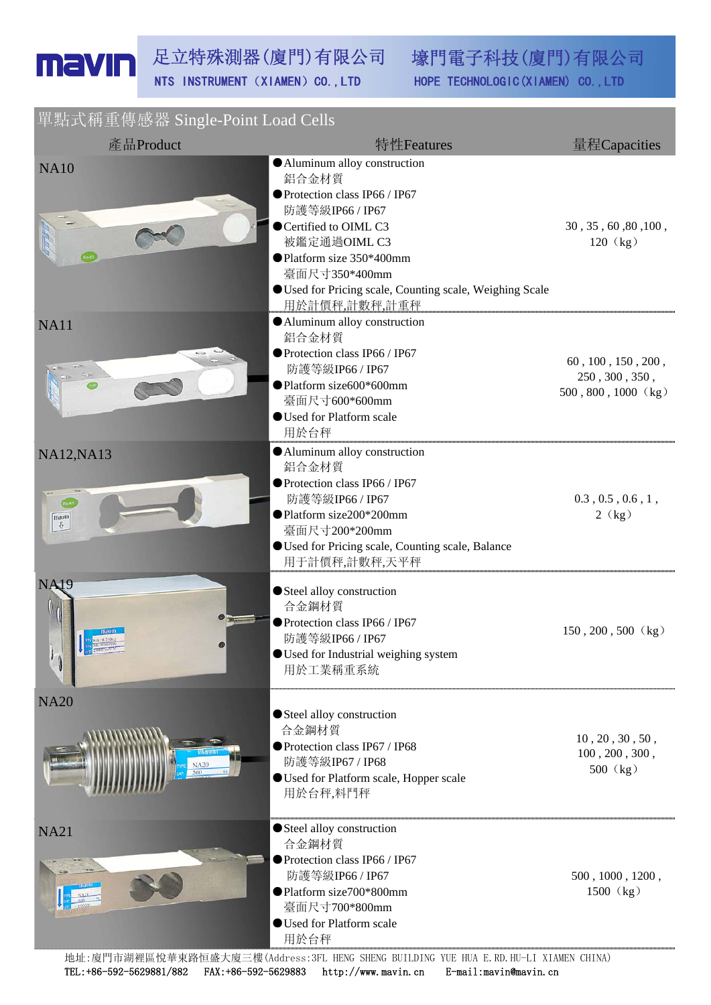壕門電子科技(廈門)有限公司 HOPE TECHNOLOGIC (XIAMEN) CO., LTD

## 單點式稱重傳感器 Single-Point Load Cells

| 產品Product         | 特性Features                                                                                                                                                                  | 量程Capacities                                                  |
|-------------------|-----------------------------------------------------------------------------------------------------------------------------------------------------------------------------|---------------------------------------------------------------|
| <b>NA10</b>       | Aluminum alloy construction<br>鋁合金材質<br>● Protection class IP66 / IP67<br>防護等級IP66 / IP67                                                                                   |                                                               |
|                   | ● Certified to OIML C3<br>被鑑定通過OIML C3<br>● Platform size 350*400mm<br>臺面尺寸350*400mm<br>Used for Pricing scale, Counting scale, Weighing Scale<br>用於計價秤,計數秤,計重秤             | 30, 35, 60, 80, 100,<br>120 (kg)                              |
| <b>NA11</b>       | Aluminum alloy construction<br>鋁合金材質<br>● Protection class IP66 / IP67<br>防護等級IP66 / IP67<br>● Platform size600*600mm<br>臺面尺寸600*600mm<br>● Used for Platform scale<br>用於台秤 | 60, 100, 150, 200,<br>250, 300, 350,<br>$500, 800, 1000$ (kg) |
| <b>NA12, NA13</b> | Aluminum alloy construction<br>鋁合金材質<br>● Protection class IP66 / IP67                                                                                                      |                                                               |
| mauin<br>$\theta$ | 防護等級IP66 / IP67<br>● Platform size200*200mm<br>臺面尺寸200*200mm<br><b>OUsed for Pricing scale, Counting scale, Balance</b><br>用于計價秤,計數秤,天平秤                                    | 0.3, 0.5, 0.6, 1,<br>2(kg)                                    |
| <b>NA19</b>       | Steel alloy construction<br>合金鋼材質<br>● Protection class IP66 / IP67<br>防護等級IP66 / IP67<br>● Used for Industrial weighing system<br>用於工業稱重系統                                 | $150, 200, 500$ (kg)                                          |
| <b>NA20</b>       | Steel alloy construction<br>合金鋼材質<br>● Protection class IP67 / IP68<br>防護等級IP67 / IP68<br><b>OUsed for Platform scale, Hopper scale</b><br>用於台秤,料鬥秤                         | 10, 20, 30, 50,<br>100, 200, 300,<br>500 (kg)                 |
| <b>NA21</b>       | Steel alloy construction<br>合金鋼材質<br>● Protection class IP66 / IP67<br>防護等級IP66 / IP67<br>●Platform size700*800mm<br>臺面尺寸700*800mm<br>● Used for Platform scale<br>用於台秤     | 500, 1000, 1200,<br>$1500$ (kg)                               |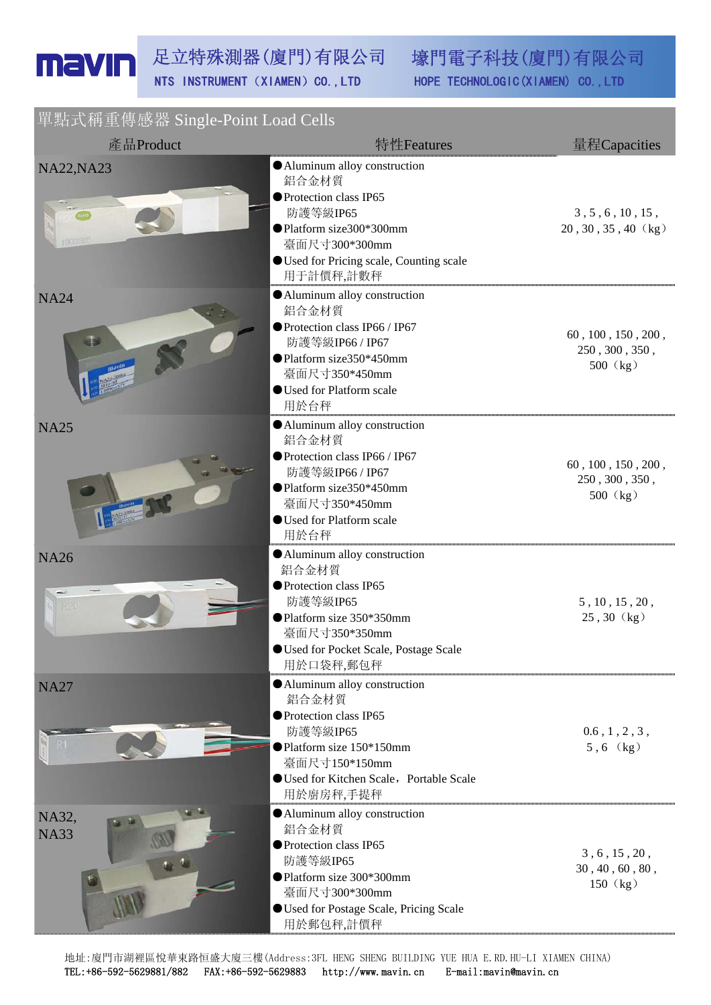壕門電子科技(廈門)有限公司 HOPE TECHNOLOGIC (XIAMEN) CO., LTD

單點式稱重傳感器 Single-Point Load Cells

| 產品Product            | 特性Features                                                                                                                                                                              | 量程Capacities                                     |
|----------------------|-----------------------------------------------------------------------------------------------------------------------------------------------------------------------------------------|--------------------------------------------------|
| <b>NA22, NA23</b>    | Aluminum alloy construction<br>鋁合金材質<br>● Protection class IP65<br>防護等級IP65<br>● Platform size300*300mm<br>臺面尺寸300*300mm<br><b>OUsed for Pricing scale, Counting scale</b><br>用于計價秤,計數秤 | 3, 5, 6, 10, 15,<br>$20, 30, 35, 40$ (kg)        |
| <b>NA24</b>          | Aluminum alloy construction<br>鋁合金材質<br>● Protection class IP66 / IP67<br>防護等級IP66 / IP67<br>● Platform size350*450mm<br>臺面尺寸350*450mm<br><b>OUsed for Platform scale</b><br>用於台秤       | 60, 100, 150, 200,<br>250, 300, 350,<br>500 (kg) |
| <b>NA25</b>          | Aluminum alloy construction<br>鋁合金材質<br>● Protection class IP66 / IP67<br>防護等級IP66 / IP67<br>● Platform size350*450mm<br>臺面尺寸350*450mm<br><b>OUsed for Platform scale</b><br>用於台秤       | 60, 100, 150, 200,<br>250, 300, 350,<br>500 (kg) |
| <b>NA26</b>          | Aluminum alloy construction<br>鋁合金材質<br>● Protection class IP65<br>防護等級IP65<br>● Platform size 350*350mm<br>臺面尺寸350*350mm<br><b>OUsed for Pocket Scale, Postage Scale</b><br>用於口袋秤,郵包秤  | 5, 10, 15, 20,<br>25, 30 (kg)                    |
| <b>NA27</b>          | Aluminum alloy construction<br>鋁合金材質<br>● Protection class IP65<br>防護等級IP65<br>● Platform size 150*150mm<br>臺面尺寸150*150mm<br>Used for Kitchen Scale, Portable Scale<br>用於廚房秤,手提秤        | $0.6$ , $1$ , $2$ , $3$ ,<br>$5, 6$ (kg)         |
| NA32,<br><b>NA33</b> | Aluminum alloy construction<br>鋁合金材質<br>● Protection class IP65<br>防護等級IP65<br>● Platform size 300*300mm<br>臺面尺寸300*300mm<br>Used for Postage Scale, Pricing Scale<br>用於郵包秤,計價秤         | 3, 6, 15, 20,<br>30, 40, 60, 80,<br>150 (kg)     |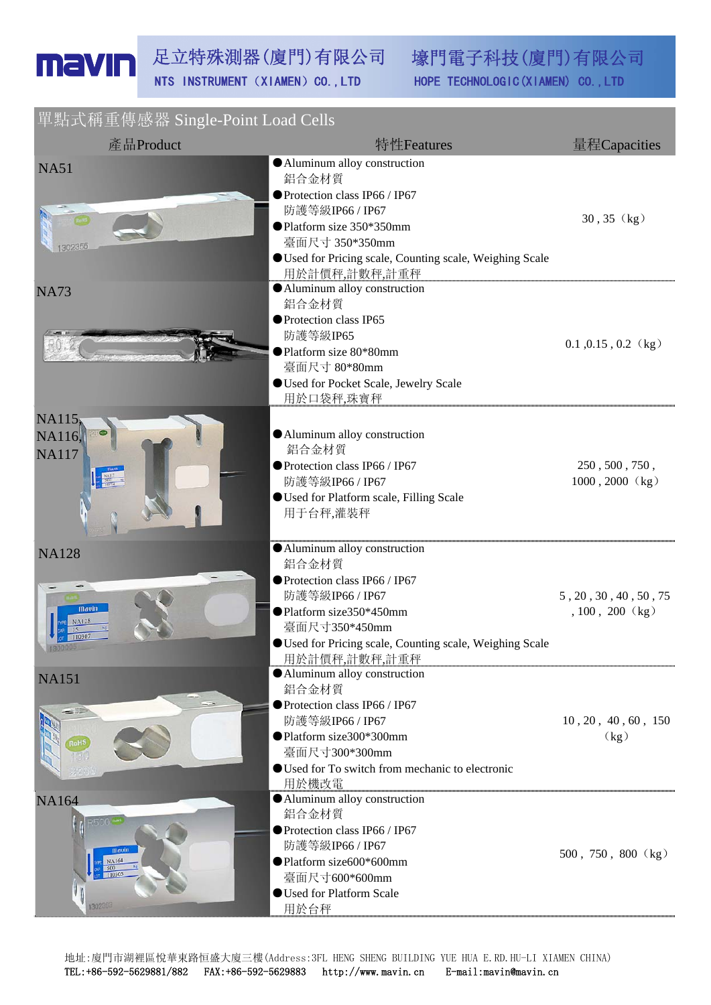壕門電子科技(廈門)有限公司 HOPE TECHNOLOGIC (XIAMEN) CO., LTD

單點式稱重傳感器 Single-Point Load Cells

| 產品Product                                           | 特性Features                                                                                                                                                                                                          | 量程Capacities                               |
|-----------------------------------------------------|---------------------------------------------------------------------------------------------------------------------------------------------------------------------------------------------------------------------|--------------------------------------------|
| <b>NA51</b><br>302355                               | Aluminum alloy construction<br>鋁合金材質<br>● Protection class IP66 / IP67<br>防護等級IP66 / IP67<br>● Platform size 350*350mm<br>臺面尺寸 350*350mm<br>Used for Pricing scale, Counting scale, Weighing Scale<br>用於計價秤,計數秤,計重秤 | $30, 35$ (kg)                              |
| <b>NA73</b>                                         | Aluminum alloy construction<br>鋁合金材質<br>● Protection class IP65<br>防護等級IP65<br>● Platform size 80*80mm<br>臺面尺寸 80*80mm<br>Used for Pocket Scale, Jewelry Scale<br>用於口袋秤,珠寶秤                                         | $0.1$ , $0.15$ , $0.2$ (kg)                |
| NA115,<br>NA116,<br><b>NA117</b>                    | Aluminum alloy construction<br>鋁合金材質<br>● Protection class IP66 / IP67<br>防護等級IP66 / IP67<br><b>OUsed for Platform scale, Filling Scale</b><br>用于台秤,灌裝秤                                                             | 250, 500, 750,<br>$1000, 2000$ (kg)        |
| <b>NA128</b><br>mavin                               | Aluminum alloy construction<br>鋁合金材質<br>● Protection class IP66 / IP67<br>防護等級IP66 / IP67<br>● Platform size350*450mm<br>臺面尺寸350*450mm<br>Used for Pricing scale, Counting scale, Weighing Scale<br>用於計價秤,計數秤,計重秤   | 5, 20, 30, 40, 50, 75<br>$, 100, 200$ (kg) |
| <b>NA151</b><br>3aHS                                | Aluminum alloy construction<br>鋁合金材質<br>● Protection class IP66 / IP67<br>防護等級IP66 / IP67<br>● Platform size300*300mm<br>臺面尺寸300*300mm<br>● Used for To switch from mechanic to electronic<br>用於機改電                 | 10, 20, 40, 60, 150<br>(kg)                |
| <b>NA164</b><br>500<br><b>Mauin</b><br><b>NA164</b> | • Aluminum alloy construction<br>鋁合金材質<br>● Protection class IP66 / IP67<br>防護等級IP66 / IP67<br>● Platform size600*600mm<br>臺面尺寸600*600mm<br><b>OUsed for Platform Scale</b><br>用於台秤                                 | $500, 750, 800 \;$ (kg)                    |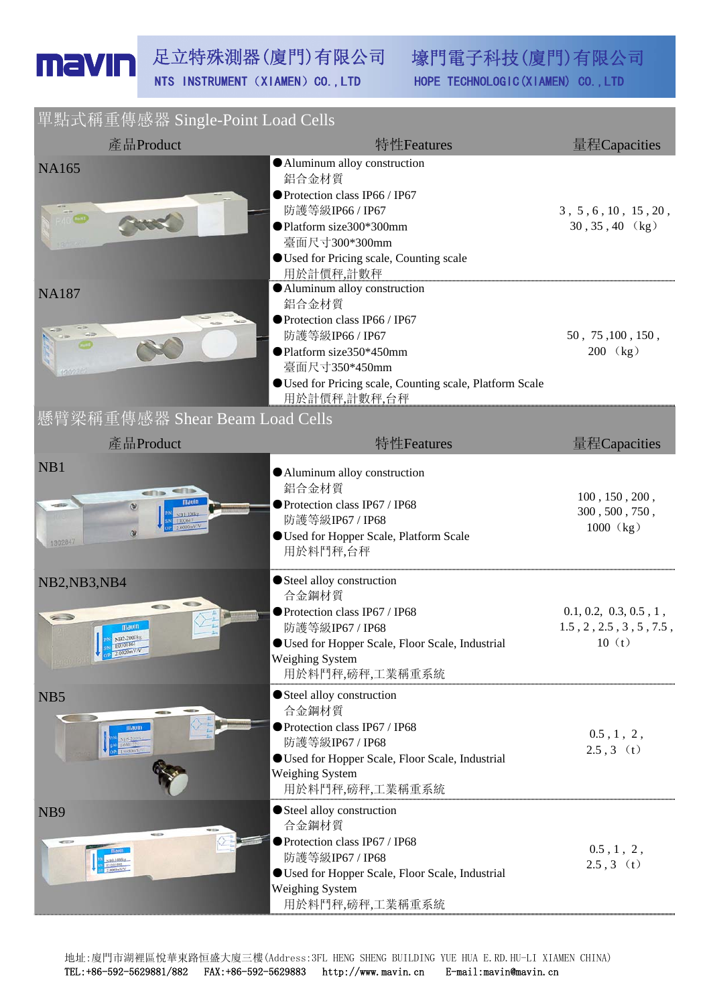壕門電子科技(廈門)有限公司 HOPE TECHNOLOGIC (XIAMEN) CO., LTD

## **開**點式稱重值感哭 Single Doint Load Cells

| $+$ MI $\pm$ VIII $\pm$ IV TO THE DILIGIC TOMIC LOAGE COILS<br>產品Product | 特性Features                                                                                                                                                                                                         | 量程Capacities                                                                 |
|--------------------------------------------------------------------------|--------------------------------------------------------------------------------------------------------------------------------------------------------------------------------------------------------------------|------------------------------------------------------------------------------|
| <b>NA165</b><br><b>The Month</b>                                         | • Aluminum alloy construction<br>鋁合金材質<br>● Protection class IP66 / IP67<br>防護等級IP66 / IP67<br>●Platform size300*300mm<br>臺面尺寸300*300mm<br>● Used for Pricing scale, Counting scale<br>用於計價秤,計數秤                   | 3, 5, 6, 10, 15, 20,<br>$30, 35, 40$ (kg)                                    |
| <b>NA187</b><br>懸臂梁稱重傳感器 Shear Beam Load Cells                           | • Aluminum alloy construction<br>鋁合金材質<br>● Protection class IP66 / IP67<br>防護等級IP66 / IP67<br>● Platform size350*450mm<br>臺面尺寸350*450mm<br>Used for Pricing scale, Counting scale, Platform Scale<br>用於計價秤,計數秤,台秤 | 50, 75, 100, 150,<br>200 (kg)                                                |
| 產品Product                                                                | 特性Features                                                                                                                                                                                                         | 量程Capacities                                                                 |
| NB1<br>ens<br>$\alpha$<br>1302847                                        | Aluminum alloy construction<br>鋁合金材質<br>● Protection class IP67 / IP68<br>防護等級IP67 / IP68<br><b>OUsed for Hopper Scale, Platform Scale</b><br>用於料鬥秤,台秤                                                             | 100, 150, 200,<br>300, 500, 750,<br>1000 (kg)                                |
| NB2,NB3,NB4<br>$\leq$ $\geq$<br>navin                                    | Steel alloy construction<br>合金鋼材質<br>● Protection class IP67 / IP68<br>防護等級IP67 / IP68<br>● Used for Hopper Scale, Floor Scale, Industrial<br><b>Weighing System</b><br>用於料鬥秤,磅秤,工業稱重系統                            | 0.1, 0.2, 0.3, 0.5, 1,<br>$1.5$ , $2$ , $2.5$ , $3$ , $5$ , $7.5$ ,<br>10(t) |
| NB5<br>mavin                                                             | Steel alloy construction<br>合金鋼材質<br>● Protection class IP67 / IP68<br>防護等級IP67 / IP68<br><b>OUsed for Hopper Scale, Floor Scale, Industrial</b><br><b>Weighing System</b><br>用於料鬥秤,磅秤,工業稱重系統                      | $0.5$ , 1, 2,<br>$2.5, 3$ (t)                                                |
| NB9<br><b>Commercial</b>                                                 | Steel alloy construction<br>合金鋼材質<br>● Protection class IP67 / IP68<br>防護等級IP67 / IP68<br><b>OUsed for Hopper Scale, Floor Scale, Industrial</b><br>Weighing System<br>用於料鬥秤,磅秤,工業稱重系統                             | $0.5$ , 1, 2,<br>$2.5, 3$ (t)                                                |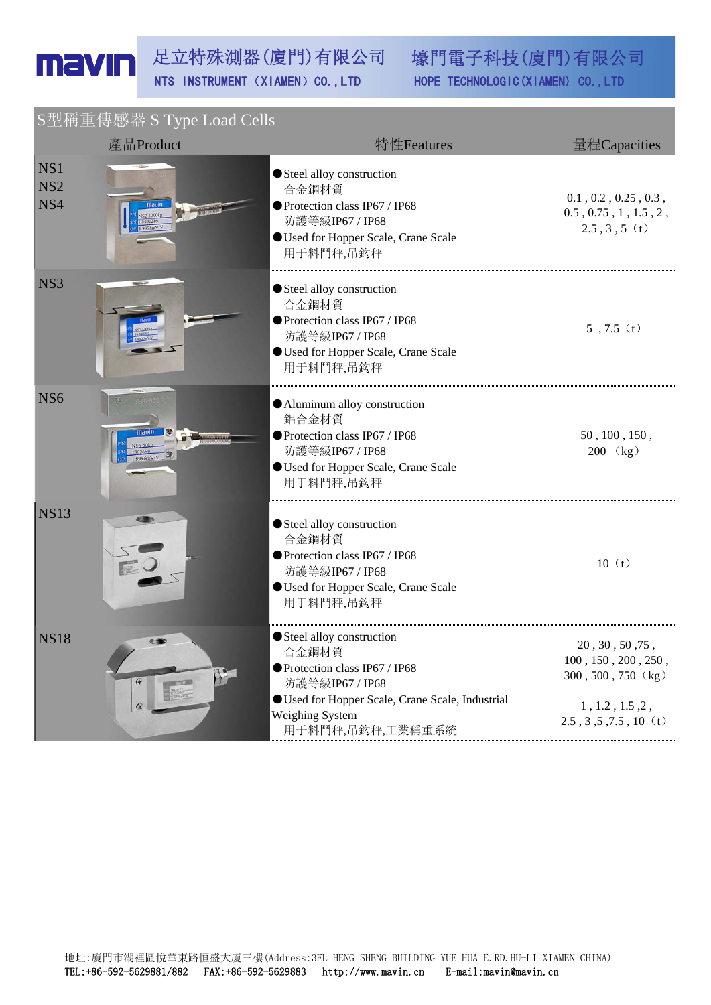|                               | S型稱重傳感器 S Type Load Cells                                                                                                                               |                                                                                                                                                                                         |                                                                                                                        |
|-------------------------------|---------------------------------------------------------------------------------------------------------------------------------------------------------|-----------------------------------------------------------------------------------------------------------------------------------------------------------------------------------------|------------------------------------------------------------------------------------------------------------------------|
|                               | 產品Product                                                                                                                                               | 特性Features                                                                                                                                                                              | 量程Capacities                                                                                                           |
| NS1<br>NS <sub>2</sub><br>NS4 | S2-1000kg<br>0400286<br>9998mV/V                                                                                                                        | Steel alloy construction<br>合金鋼材質<br>● Protection class IP67 / IP68<br>防護等級IP67 / IP68<br><b>O</b> Used for Hopper Scale, Crane Scale<br>用于料鬥秤,吊鈎秤                                      | $0.1$ , $0.2$ , $0.25$ , $0.3$ ,<br>$0.5$ , $0.75$ , $1$ , $1.5$ , $2$ ,<br>$2.5, 3, 5$ (t)                            |
| NS <sub>3</sub>               |                                                                                                                                                         | Steel alloy construction<br>合金鋼材質<br>● Protection class IP67 / IP68<br>防護等級IP67 / IP68<br><b>OUsed for Hopper Scale, Crane Scale</b><br>用于料鬥秤,吊鈎秤                                       | $5, 7.5$ (t)                                                                                                           |
| NS <sub>6</sub>               | 1.0006mV/V                                                                                                                                              | Aluminum alloy construction<br>鋁合金材質<br>● Protection class IP67 / IP68<br>防護等級IP67 / IP68<br><b>O</b> Used for Hopper Scale, Crane Scale<br>用于料鬥秤,吊鈎秤                                   | 50, 100, 150,<br>200 (kg)                                                                                              |
| <b>NS13</b>                   |                                                                                                                                                         | Steel alloy construction<br>合金鋼材質<br>● Protection class IP67 / IP68<br>防護等級IP67 / IP68<br><b>O</b> Used for Hopper Scale, Crane Scale<br>用于料鬥秤,吊鈎秤                                      | 10(t)                                                                                                                  |
| <b>NS18</b>                   | DE<br>$G_{\mathbf{r}}$<br>$\begin{array}{c} \hline \text{min.} \\ \text{with } 11 \\ \text{min.} \\ \text{max.} \\ \text{max.} \end{array}$<br>$\alpha$ | Steel alloy construction<br>合金鋼材質<br>● Protection class IP67 / IP68<br>防護等級IP67 / IP68<br><b>OUsed for Hopper Scale, Crane Scale, Industrial</b><br>Weighing System<br>用于料鬥秤,吊鈎秤,工業稱重系統 | 20, 30, 50, 75<br>100, 150, 200, 250,<br>300, 500, 750 (kg)<br>1, 1.2, 1.5, 2,<br>$2.5$ , $3$ , $5$ , $7.5$ , $10$ (t) |

地址:廈門市湖裡區悅華東路恒盛大廈三樓(Address:3FL HENG SHENG BUILDING YUE HUA E.RD.HU-LI XIAMEN CHINA) TEL:+86-592-5629881/882 FAX:+86-592-5629883 http://www.mavin.cn E-mail:mavin@mavin.cn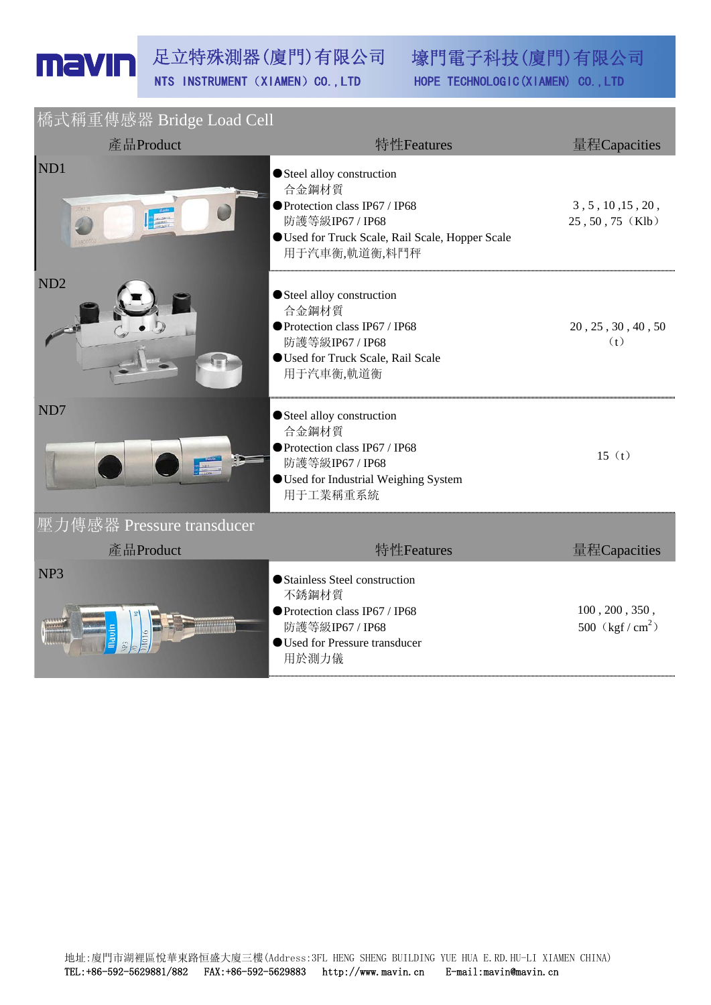| 橋式稱重傳感器 Bridge Load Cell  |                                                                                                                                                           |                                       |
|---------------------------|-----------------------------------------------------------------------------------------------------------------------------------------------------------|---------------------------------------|
| 產品Product                 | 特性Features                                                                                                                                                | 量程Capacities                          |
| ND1<br><b>CALLER</b>      | Steel alloy construction<br>合金鋼材質<br>● Protection class IP67 / IP68<br>防護等級IP67 / IP68<br>Used for Truck Scale, Rail Scale, Hopper Scale<br>用于汽車衡,軌道衡,料鬥秤 | 3, 5, 10, 15, 20,<br>25, 50, 75 (Klb) |
| ND <sub>2</sub>           | Steel alloy construction<br>合金鋼材質<br>● Protection class IP67 / IP68<br>防護等級IP67 / IP68<br>Used for Truck Scale, Rail Scale<br>用于汽車衡,軌道衡                   | 20, 25, 30, 40, 50<br>(t)             |
| ND7                       | Steel alloy construction<br>合金鋼材質<br>● Protection class IP67 / IP68<br>防護等級IP67 / IP68<br><b>OUsed for Industrial Weighing System</b><br>用于工業稱重系統         | 15(t)                                 |
| 壓力傳感器 Pressure transducer |                                                                                                                                                           |                                       |
| 產品Product                 | 特性Features                                                                                                                                                | 量程Capacities                          |
| NP <sub>3</sub>           | Stainless Steel construction<br>不銹鋼材質<br>● Protection class IP67 / IP68<br>防護等級IP67 / IP68<br>● Used for Pressure transducer<br>用於測力儀                     | 100, 200, 350,<br>500 $(kgf/cm^2)$    |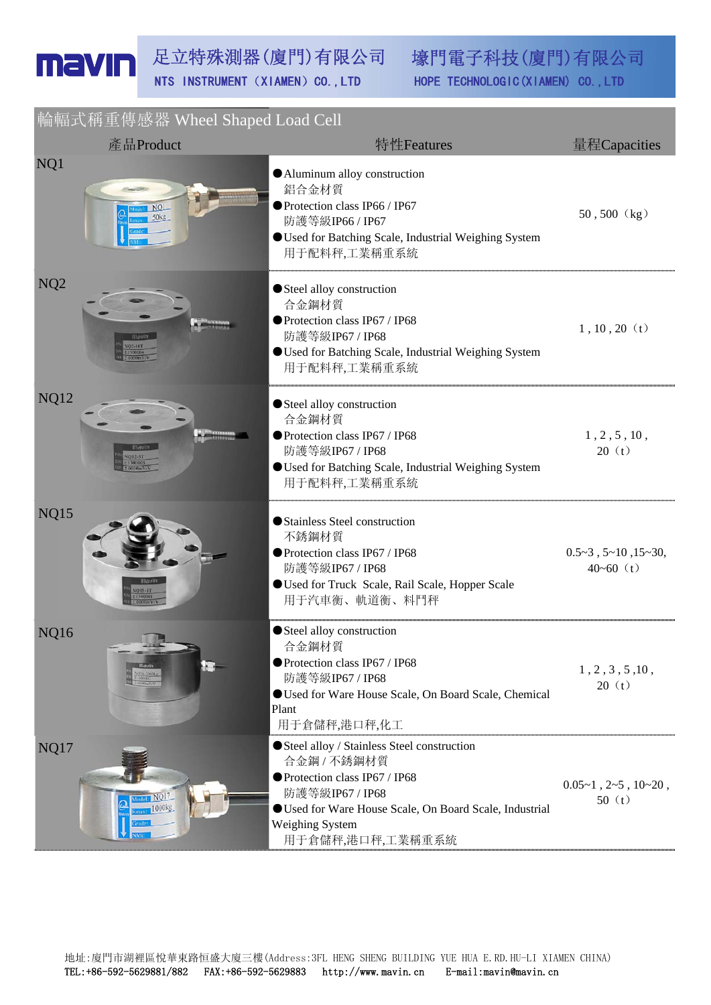**輪輻式稱重盧感器 Wheel Shaped Load Cell** 

|                 | $T \cup T \cup T \cup T \cup T$ is an interest bridged Louis Com<br>產品Product | 特性Features                                                                                                                                                                                                     | 量程Capacities                                        |
|-----------------|-------------------------------------------------------------------------------|----------------------------------------------------------------------------------------------------------------------------------------------------------------------------------------------------------------|-----------------------------------------------------|
| NQ1             | NO <sub>L</sub><br>50 <sub>kg</sub>                                           | Aluminum alloy construction<br>鋁合金材質<br>● Protection class IP66 / IP67<br>防護等級IP66 / IP67<br>Used for Batching Scale, Industrial Weighing System<br>用于配料秤,工業稱重系統                                               | $50, 500$ (kg)                                      |
| NQ <sub>2</sub> |                                                                               | Steel alloy construction<br>合金鋼材質<br>● Protection class IP67 / IP68<br>防護等級IP67 / IP68<br>Used for Batching Scale, Industrial Weighing System<br>用于配料秤,工業稱重系統                                                  | $1, 10, 20$ (t)                                     |
| <b>NQ12</b>     |                                                                               | Steel alloy construction<br>合金鋼材質<br>● Protection class IP67 / IP68<br>防護等級IP67 / IP68<br><b>OUsed for Batching Scale, Industrial Weighing System</b><br>用于配料秤,工業稱重系統                                          | 1, 2, 5, 10,<br>20(t)                               |
| <b>NQ15</b>     |                                                                               | Stainless Steel construction<br>不銹鋼材質<br>● Protection class IP67 / IP68<br>防護等級IP67 / IP68<br>Used for Truck Scale, Rail Scale, Hopper Scale<br>用于汽車衡、軌道衡、料鬥秤                                                  | $0.5 - 3$ , $5 - 10$ , $15 - 30$ ,<br>$40 - 60$ (t) |
| <b>NQ16</b>     |                                                                               | Steel alloy construction<br>合金鋼材質<br>● Protection class IP67 / IP68<br>防護等級IP67 / IP68<br>Used for Ware House Scale, On Board Scale, Chemical<br>Plant<br>用于倉儲秤,港口秤,化工                                         | 1, 2, 3, 5, 10,<br>20(t)                            |
| NQ17            | tel: NQ17<br>$1000$ <sub>kg</sub>                                             | Steel alloy / Stainless Steel construction<br>合金鋼 / 不銹鋼材質<br>● Protection class IP67 / IP68<br>防護等級IP67 / IP68<br>Used for Ware House Scale, On Board Scale, Industrial<br>Weighing System<br>用于倉儲秤,港口秤,工業稱重系統 | $0.05 - 1$ , $2 - 5$ , $10 - 20$ ,<br>50(t)         |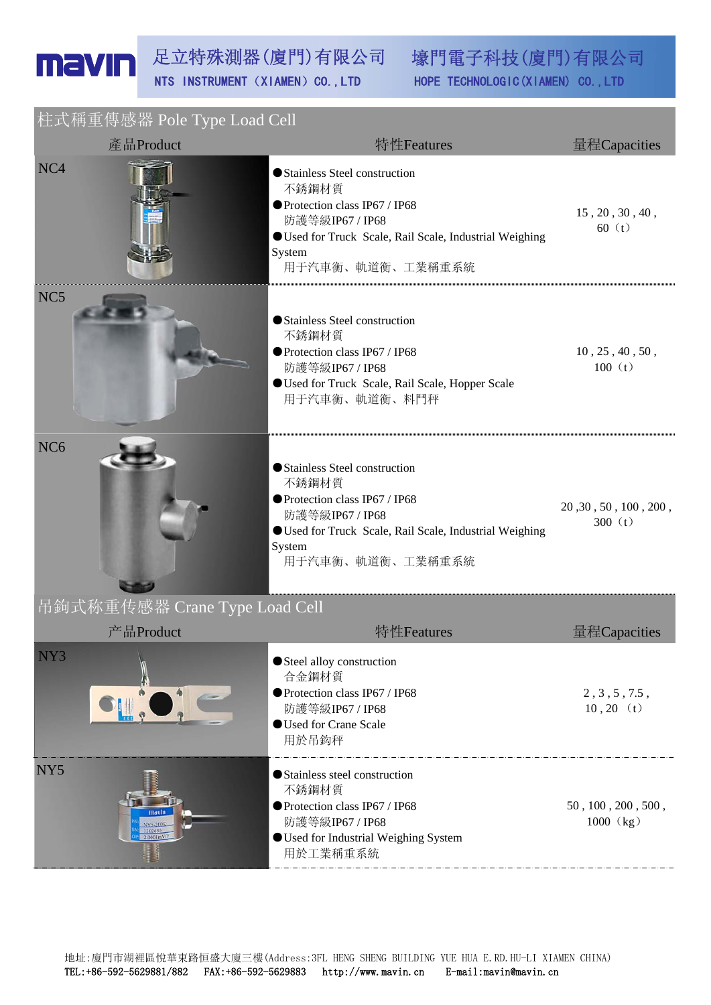| 柱式稱重傳感器 Pole Type Load Cell   |                                                                                                                                                                                     |                                    |  |
|-------------------------------|-------------------------------------------------------------------------------------------------------------------------------------------------------------------------------------|------------------------------------|--|
| 產品Product                     | 特性Features                                                                                                                                                                          | 量程Capacities                       |  |
| NC <sub>4</sub>               | Stainless Steel construction<br>不銹鋼材質<br>● Protection class IP67 / IP68<br>防護等級IP67 / IP68<br>● Used for Truck Scale, Rail Scale, Industrial Weighing<br>System<br>用于汽車衡、軌道衡、工業稱重系統 | 15, 20, 30, 40,<br>60 $(t)$        |  |
| NC <sub>5</sub>               | Stainless Steel construction<br>不銹鋼材質<br>● Protection class IP67 / IP68<br>防護等級IP67 / IP68<br>Used for Truck Scale, Rail Scale, Hopper Scale<br>用于汽車衡、軌道衡、料鬥秤                       | 10, 25, 40, 50,<br>100 (t)         |  |
| NC <sub>6</sub>               | Stainless Steel construction<br>不銹鋼材質<br>● Protection class IP67 / IP68<br>防護等級IP67 / IP68<br>Used for Truck Scale, Rail Scale, Industrial Weighing<br>System<br>用于汽車衡、軌道衡、工業稱重系統   | 20, 30, 50, 100, 200,<br>300 $(t)$ |  |
| 吊鉤式称重传感器 Crane Type Load Cell |                                                                                                                                                                                     |                                    |  |
| 产品Product                     | 特性Features                                                                                                                                                                          | 量程Capacities                       |  |
| NY3                           | Steel alloy construction<br>合金鋼材質<br>● Protection class IP67 / IP68<br>防護等級IP67 / IP68<br><b>OUsed for Crane Scale</b><br>用於吊鈎秤                                                     | 2, 3, 5, 7.5,<br>$10, 20$ (t)      |  |
| NY <sub>5</sub><br>2.0001mV   | Stainless steel construction<br>不銹鋼材質<br>● Protection class IP67 / IP68<br>防護等級IP67 / IP68<br><b>OUsed for Industrial Weighing System</b><br>用於工業稱重系統                               | 50, 100, 200, 500,<br>1000 (kg)    |  |